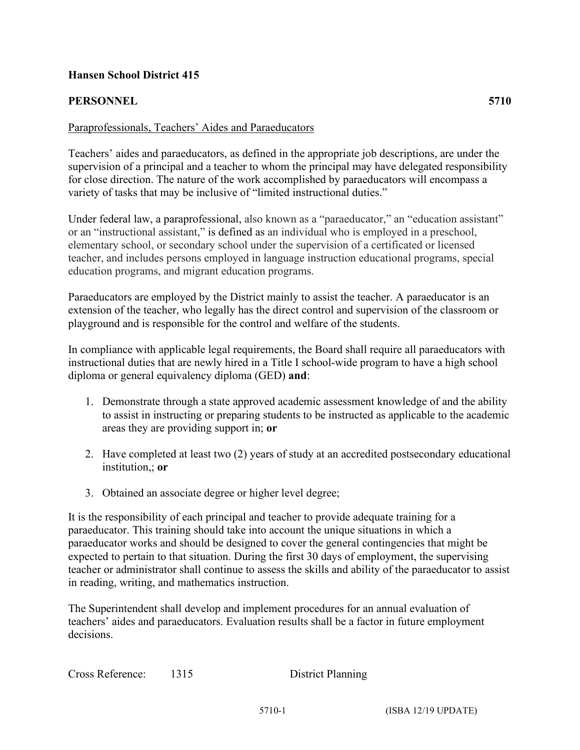## **Hansen School District 415**

## **PERSONNEL 5710**

## Paraprofessionals, Teachers' Aides and Paraeducators

Teachers' aides and paraeducators, as defined in the appropriate job descriptions, are under the supervision of a principal and a teacher to whom the principal may have delegated responsibility for close direction. The nature of the work accomplished by paraeducators will encompass a variety of tasks that may be inclusive of "limited instructional duties."

Under federal law, a paraprofessional, also known as a "paraeducator," an "education assistant" or an "instructional assistant," is defined as an individual who is employed in a preschool, elementary school, or secondary school under the supervision of a certificated or licensed teacher, and includes persons employed in language instruction educational programs, special education programs, and migrant education programs.

Paraeducators are employed by the District mainly to assist the teacher. A paraeducator is an extension of the teacher, who legally has the direct control and supervision of the classroom or playground and is responsible for the control and welfare of the students.

In compliance with applicable legal requirements, the Board shall require all paraeducators with instructional duties that are newly hired in a Title I school-wide program to have a high school diploma or general equivalency diploma (GED) **and**:

- 1. Demonstrate through a state approved academic assessment knowledge of and the ability to assist in instructing or preparing students to be instructed as applicable to the academic areas they are providing support in; **or**
- 2. Have completed at least two (2) years of study at an accredited postsecondary educational institution,; **or**
- 3. Obtained an associate degree or higher level degree;

It is the responsibility of each principal and teacher to provide adequate training for a paraeducator. This training should take into account the unique situations in which a paraeducator works and should be designed to cover the general contingencies that might be expected to pertain to that situation. During the first 30 days of employment, the supervising teacher or administrator shall continue to assess the skills and ability of the paraeducator to assist in reading, writing, and mathematics instruction.

The Superintendent shall develop and implement procedures for an annual evaluation of teachers' aides and paraeducators. Evaluation results shall be a factor in future employment decisions.

| Cross Reference: | 1315 | <b>District Planning</b> |
|------------------|------|--------------------------|
|------------------|------|--------------------------|